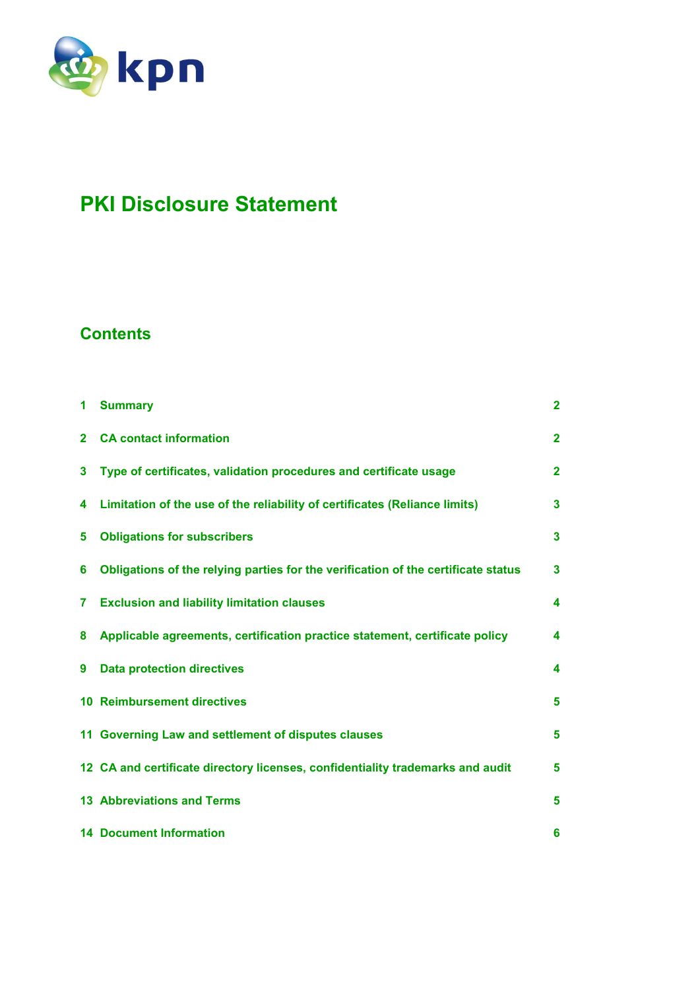

# **PKI Disclosure Statement**

# **Contents**

| 1              | <b>Summary</b>                                                                    | $\mathbf{2}$ |
|----------------|-----------------------------------------------------------------------------------|--------------|
| $\overline{2}$ | <b>CA contact information</b>                                                     | $\mathbf{2}$ |
| 3              | Type of certificates, validation procedures and certificate usage                 | $\mathbf{2}$ |
| 4              | Limitation of the use of the reliability of certificates (Reliance limits)        | 3            |
| 5              | <b>Obligations for subscribers</b>                                                | 3            |
| 6              | Obligations of the relying parties for the verification of the certificate status | 3            |
| 7              | <b>Exclusion and liability limitation clauses</b>                                 | 4            |
| 8              | Applicable agreements, certification practice statement, certificate policy       | 4            |
| 9              | <b>Data protection directives</b>                                                 | 4            |
|                | <b>10 Reimbursement directives</b>                                                | 5            |
|                | 11 Governing Law and settlement of disputes clauses                               | 5            |
|                | 12 CA and certificate directory licenses, confidentiality trademarks and audit    | 5            |
|                | <b>13 Abbreviations and Terms</b>                                                 | 5            |
|                | <b>14 Document Information</b>                                                    | 6            |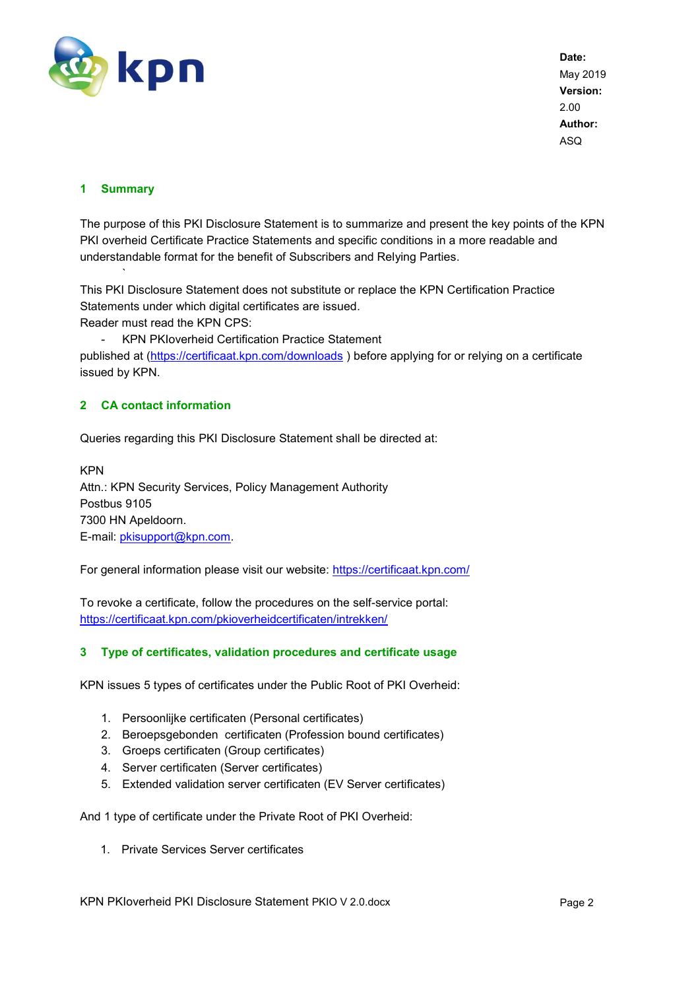

# <span id="page-1-0"></span>**1 Summary**

`

The purpose of this PKI Disclosure Statement is to summarize and present the key points of the KPN PKI overheid Certificate Practice Statements and specific conditions in a more readable and understandable format for the benefit of Subscribers and Relying Parties.

This PKI Disclosure Statement does not substitute or replace the KPN Certification Practice Statements under which digital certificates are issued.

Reader must read the KPN CPS:

- KPN PKIoverheid Certification Practice Statement published at [\(https://certificaat.kpn.com/downloads](https://certificaat.kpn.com/downloads) ) before applying for or relying on a certificate issued by KPN.

# <span id="page-1-1"></span>**2 CA contact information**

Queries regarding this PKI Disclosure Statement shall be directed at:

KPN Attn.: KPN Security Services, Policy Management Authority Postbus 9105 7300 HN Apeldoorn. E-mail: [pkisupport@kpn.com.](mailto:pkisupport@kpn.com)

For general information please visit our website:<https://certificaat.kpn.com/>

To revoke a certificate, follow the procedures on the self-service portal: <https://certificaat.kpn.com/pkioverheidcertificaten/intrekken/>

#### <span id="page-1-2"></span>**3 Type of certificates, validation procedures and certificate usage**

KPN issues 5 types of certificates under the Public Root of PKI Overheid:

- 1. Persoonlijke certificaten (Personal certificates)
- 2. Beroepsgebonden certificaten (Profession bound certificates)
- 3. Groeps certificaten (Group certificates)
- 4. Server certificaten (Server certificates)
- 5. Extended validation server certificaten (EV Server certificates)

And 1 type of certificate under the Private Root of PKI Overheid:

1. Private Services Server certificates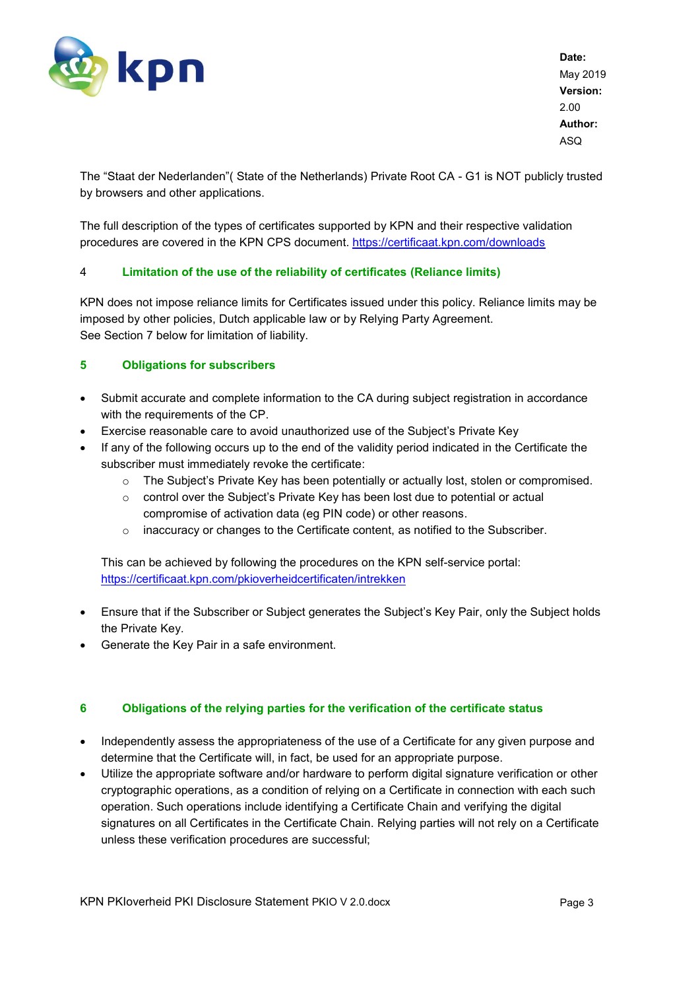

The "Staat der Nederlanden"( State of the Netherlands) Private Root CA - G1 is NOT publicly trusted by browsers and other applications.

The full description of the types of certificates supported by KPN and their respective validation procedures are covered in the KPN CPS document. <https://certificaat.kpn.com/downloads>

# <span id="page-2-0"></span>4 **Limitation of the use of the reliability of certificates (Reliance limits)**

KPN does not impose reliance limits for Certificates issued under this policy. Reliance limits may be imposed by other policies, Dutch applicable law or by Relying Party Agreement. See Section 7 below for limitation of liability.

# <span id="page-2-1"></span>**5 Obligations for subscribers**

- Submit accurate and complete information to the CA during subject registration in accordance with the requirements of the CP.
- Exercise reasonable care to avoid unauthorized use of the Subject's Private Key
- If any of the following occurs up to the end of the validity period indicated in the Certificate the subscriber must immediately revoke the certificate:
	- o The Subject's Private Key has been potentially or actually lost, stolen or compromised.
	- $\circ$  control over the Subiect's Private Key has been lost due to potential or actual compromise of activation data (eg PIN code) or other reasons.
	- o inaccuracy or changes to the Certificate content, as notified to the Subscriber.

This can be achieved by following the procedures on the KPN self-service portal: <https://certificaat.kpn.com/pkioverheidcertificaten/intrekken>

- Ensure that if the Subscriber or Subject generates the Subject's Key Pair, only the Subject holds the Private Key.
- Generate the Key Pair in a safe environment.

#### <span id="page-2-2"></span>**6 Obligations of the relying parties for the verification of the certificate status**

- Independently assess the appropriateness of the use of a Certificate for any given purpose and determine that the Certificate will, in fact, be used for an appropriate purpose.
- Utilize the appropriate software and/or hardware to perform digital signature verification or other cryptographic operations, as a condition of relying on a Certificate in connection with each such operation. Such operations include identifying a Certificate Chain and verifying the digital signatures on all Certificates in the Certificate Chain. Relying parties will not rely on a Certificate unless these verification procedures are successful;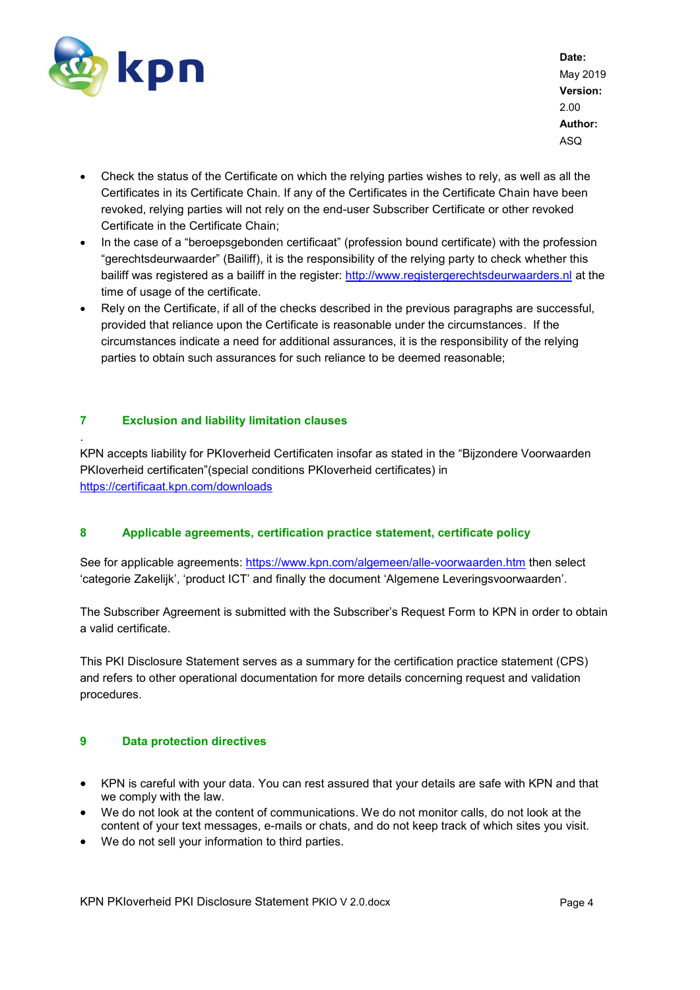

.

**Date:** May 2019 **Version:** 2.00 **Author:** ASQ

- Check the status of the Certificate on which the relying parties wishes to rely, as well as all the Certificates in its Certificate Chain. If any of the Certificates in the Certificate Chain have been revoked, relying parties will not rely on the end-user Subscriber Certificate or other revoked Certificate in the Certificate Chain;
- In the case of a "beroepsgebonden certificaat" (profession bound certificate) with the profession "gerechtsdeurwaarder" (Bailiff), it is the responsibility of the relying party to check whether this bailiff was registered as a bailiff in the register: [http://www.registergerechtsdeurwaarders.nl](http://www.registergerechtsdeurwaarders.nl/) at the time of usage of the certificate.
- Rely on the Certificate, if all of the checks described in the previous paragraphs are successful, provided that reliance upon the Certificate is reasonable under the circumstances. If the circumstances indicate a need for additional assurances, it is the responsibility of the relying parties to obtain such assurances for such reliance to be deemed reasonable;

# <span id="page-3-0"></span>**7 Exclusion and liability limitation clauses**

KPN accepts liability for PKIoverheid Certificaten insofar as stated in the "Bijzondere Voorwaarden PKIoverheid certificaten"(special conditions PKIoverheid certificates) in <https://certificaat.kpn.com/downloads>

#### <span id="page-3-1"></span>**8 Applicable agreements, certification practice statement, certificate policy**

See for applicable agreements:<https://www.kpn.com/algemeen/alle-voorwaarden.htm> then select 'categorie Zakelijk', 'product ICT' and finally the document 'Algemene Leveringsvoorwaarden'.

The Subscriber Agreement is submitted with the Subscriber's Request Form to KPN in order to obtain a valid certificate.

This PKI Disclosure Statement serves as a summary for the certification practice statement (CPS) and refers to other operational documentation for more details concerning request and validation procedures.

#### <span id="page-3-2"></span>**9 Data protection directives**

- KPN is careful with your data. You can rest assured that your details are safe with KPN and that we comply with the law.
- We do not look at the content of communications. We do not monitor calls, do not look at the content of your text messages, e-mails or chats, and do not keep track of which sites you visit.
- We do not sell your information to third parties.

KPN PKIoverheid PKI Disclosure Statement PKIO V 2.0.docx Page 4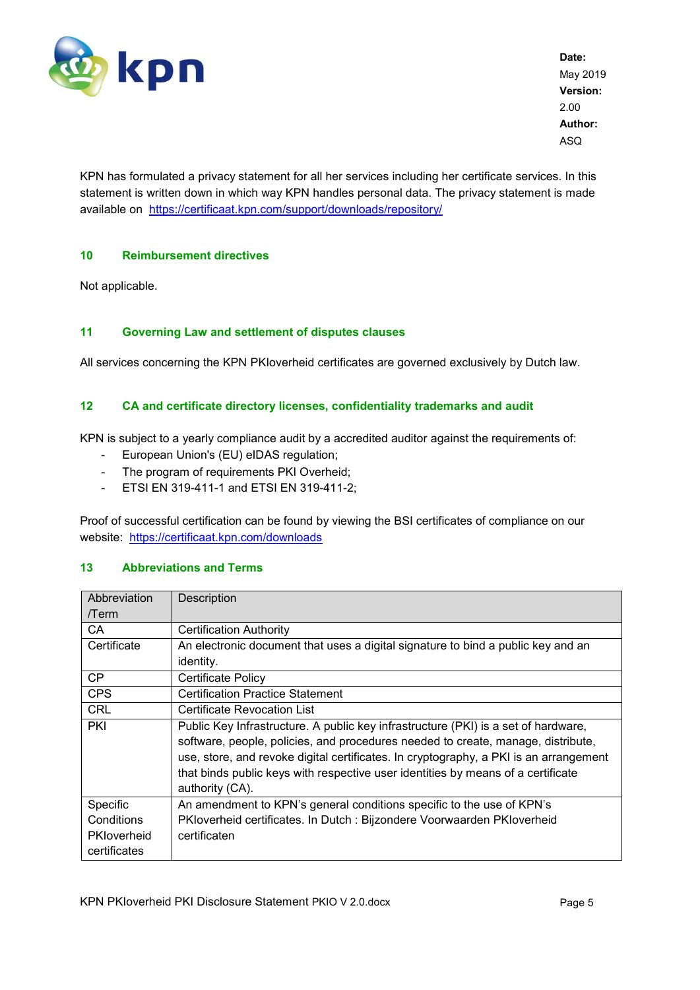

KPN has formulated a privacy statement for all her services including her certificate services. In this statement is written down in which way KPN handles personal data. The privacy statement is made available on <https://certificaat.kpn.com/support/downloads/repository/>

# <span id="page-4-0"></span>**10 Reimbursement directives**

Not applicable.

#### <span id="page-4-1"></span>**11 Governing Law and settlement of disputes clauses**

All services concerning the KPN PKIoverheid certificates are governed exclusively by Dutch law.

# <span id="page-4-2"></span>**12 CA and certificate directory licenses, confidentiality trademarks and audit**

KPN is subject to a yearly compliance audit by a accredited auditor against the requirements of:

- European Union's (EU) eIDAS regulation;
- The program of requirements PKI Overheid;
- ETSI EN 319-411-1 and ETSI EN 319-411-2;

Proof of successful certification can be found by viewing the BSI certificates of compliance on our website: <https://certificaat.kpn.com/downloads>

#### <span id="page-4-3"></span>**13 Abbreviations and Terms**

| Abbreviation | Description                                                                           |  |  |  |
|--------------|---------------------------------------------------------------------------------------|--|--|--|
| /Term        |                                                                                       |  |  |  |
| CA           | <b>Certification Authority</b>                                                        |  |  |  |
| Certificate  | An electronic document that uses a digital signature to bind a public key and an      |  |  |  |
|              | identity.                                                                             |  |  |  |
| <b>CP</b>    | Certificate Policy                                                                    |  |  |  |
| <b>CPS</b>   | <b>Certification Practice Statement</b>                                               |  |  |  |
| <b>CRL</b>   | <b>Certificate Revocation List</b>                                                    |  |  |  |
| PKI          | Public Key Infrastructure. A public key infrastructure (PKI) is a set of hardware,    |  |  |  |
|              | software, people, policies, and procedures needed to create, manage, distribute,      |  |  |  |
|              | use, store, and revoke digital certificates. In cryptography, a PKI is an arrangement |  |  |  |
|              | that binds public keys with respective user identities by means of a certificate      |  |  |  |
|              | authority (CA).                                                                       |  |  |  |
| Specific     | An amendment to KPN's general conditions specific to the use of KPN's                 |  |  |  |
| Conditions   | PKIoverheid certificates. In Dutch : Bijzondere Voorwaarden PKIoverheid               |  |  |  |
| PKloverheid  | certificaten                                                                          |  |  |  |
| certificates |                                                                                       |  |  |  |